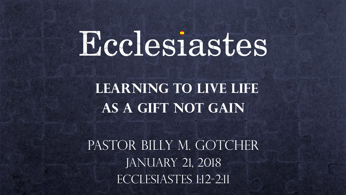# Ecclesiastes

#### **Learning to Live LIFE as a Gift not gain**

PASTOR BILLY M. GOTCHER JANUARY 21, 2018 ECCLESIASTES 1:12-2:11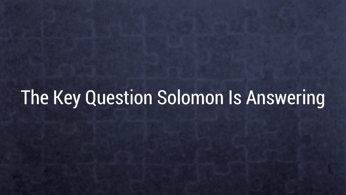## The Key Question Solomon Is Answering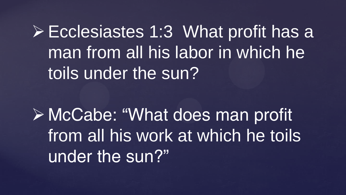Ecclesiastes 1:3 What profit has a man from all his labor in which he toils under the sun?

 McCabe: "What does man profit from all his work at which he toils under the sun?"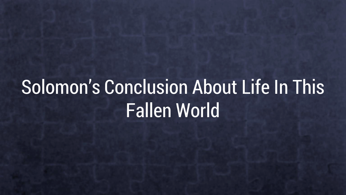# Solomon's Conclusion About Life In This Fallen World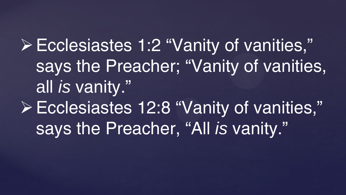Ecclesiastes 1:2 "Vanity of vanities," says the Preacher; "Vanity of vanities, all *is* vanity." Ecclesiastes 12:8 "Vanity of vanities," says the Preacher, "All *is* vanity."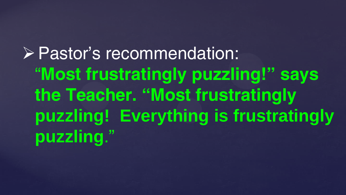Pastor's recommendation: "**Most frustratingly puzzling!" says the Teacher. "Most frustratingly puzzling! Everything is frustratingly puzzling**."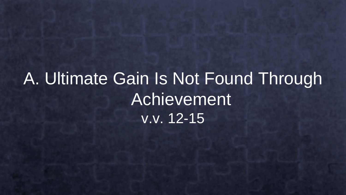## A. Ultimate Gain Is Not Found Through Achievement v.v. 12-15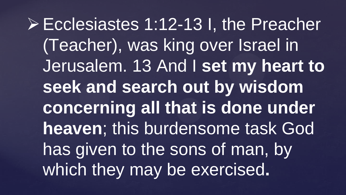Ecclesiastes 1:12-13 I, the Preacher (Teacher), was king over Israel in Jerusalem. 13 And I **set my heart to seek and search out by wisdom concerning all that is done under heaven**; this burdensome task God has given to the sons of man, by which they may be exercised**.**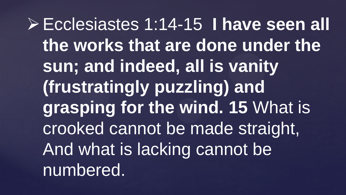Ecclesiastes 1:14-15 **I have seen all the works that are done under the sun; and indeed, all is vanity (frustratingly puzzling) and grasping for the wind. 15** What is crooked cannot be made straight, And what is lacking cannot be numbered.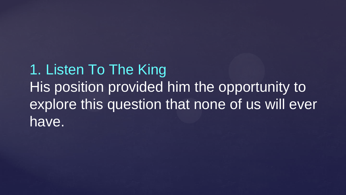1. Listen To The King His position provided him the opportunity to explore this question that none of us will ever have.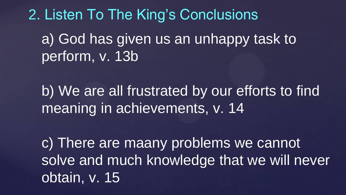2. Listen To The King's Conclusions a) God has given us an unhappy task to perform, v. 13b

b) We are all frustrated by our efforts to find meaning in achievements, v. 14

c) There are maany problems we cannot solve and much knowledge that we will never obtain, v. 15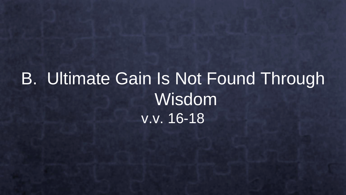## B. Ultimate Gain Is Not Found Through Wisdom v.v. 16-18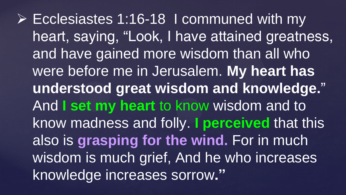Ecclesiastes 1:16-18 I communed with my heart, saying, "Look, I have attained greatness, and have gained more wisdom than all who were before me in Jerusalem. **My heart has understood great wisdom and knowledge.**" And **I set my heart** to know wisdom and to know madness and folly. **I perceived** that this also is **grasping for the wind.** For in much wisdom is much grief, And he who increases knowledge increases sorrow**."**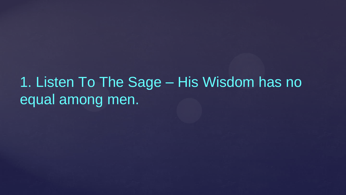1. Listen To The Sage – His Wisdom has no equal among men.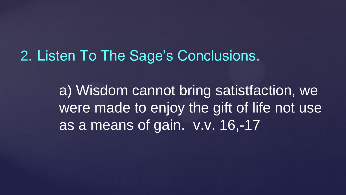#### 2. Listen To The Sage's Conclusions.

a) Wisdom cannot bring satistfaction, we were made to enjoy the gift of life not use as a means of gain. v.v. 16,-17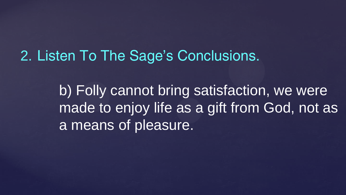2. Listen To The Sage's Conclusions.

b) Folly cannot bring satisfaction, we were made to enjoy life as a gift from God, not as a means of pleasure.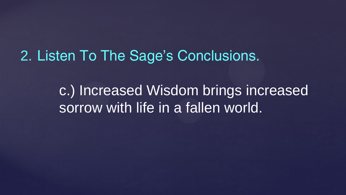#### 2. Listen To The Sage's Conclusions.

c.) Increased Wisdom brings increased sorrow with life in a fallen world.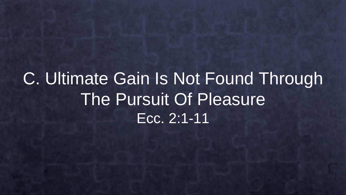### C. Ultimate Gain Is Not Found Through The Pursuit Of Pleasure Ecc. 2:1-11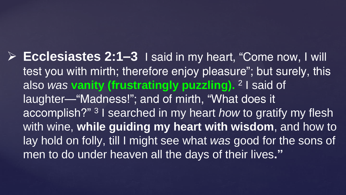**Ecclesiastes 2:1–3** I said in my heart, "Come now, I will test you with mirth; therefore enjoy pleasure"; but surely, this also *was* **vanity (frustratingly puzzling).** <sup>2</sup> I said of laughter—"Madness!"; and of mirth, "What does it accomplish?" <sup>3</sup> I searched in my heart *how* to gratify my flesh with wine, **while guiding my heart with wisdom**, and how to lay hold on folly, till I might see what *was* good for the sons of men to do under heaven all the days of their lives**."**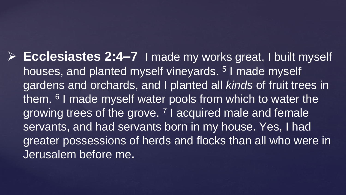**Ecclesiastes 2:4–7** I made my works great, I built myself houses, and planted myself vineyards.<sup>5</sup> I made myself gardens and orchards, and I planted all *kinds* of fruit trees in them. <sup>6</sup> I made myself water pools from which to water the growing trees of the grove.<sup>7</sup> I acquired male and female servants, and had servants born in my house. Yes, I had greater possessions of herds and flocks than all who were in Jerusalem before me**.**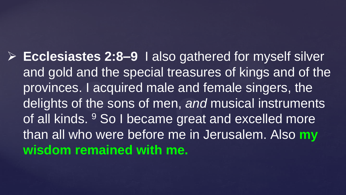**Ecclesiastes 2:8–9** I also gathered for myself silver and gold and the special treasures of kings and of the provinces. I acquired male and female singers, the delights of the sons of men, *and* musical instruments of all kinds. <sup>9</sup> So I became great and excelled more than all who were before me in Jerusalem. Also **my wisdom remained with me.**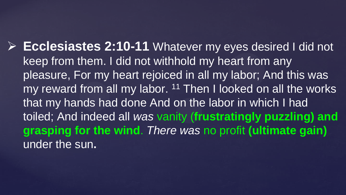**Ecclesiastes 2:10-11** Whatever my eyes desired I did not keep from them. I did not withhold my heart from any pleasure, For my heart rejoiced in all my labor; And this was my reward from all my labor.  $11$  Then I looked on all the works that my hands had done And on the labor in which I had toiled; And indeed all *was* vanity (**frustratingly puzzling) and grasping for the wind**. *There was* no profit **(ultimate gain)**  under the sun**.**